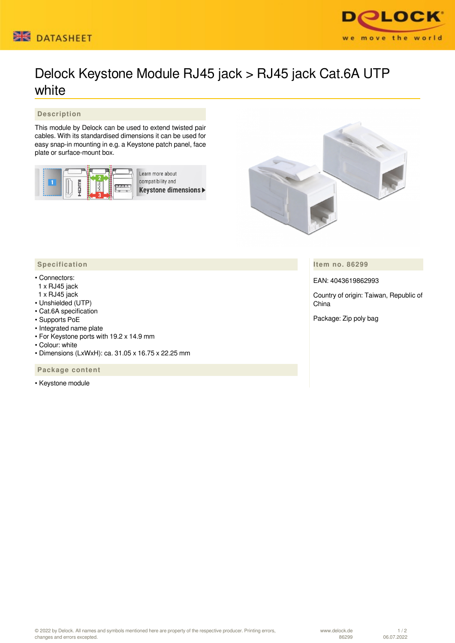



## Delock Keystone Module RJ45 jack > RJ45 jack Cat.6A UTP white

## **Description**

This module by Delock can be used to extend twisted pair cables. With its standardised dimensions it can be used for easy snap-in mounting in e.g. a Keystone patch panel, face plate or surface-mount box.







**Item no. 86299**

EAN: 4043619862993

Country of origin: Taiwan, Republic of China

Package: Zip poly bag

## **Specification**

## • Connectors:

- 1 x RJ45 jack
- 1 x RJ45 jack
- Unshielded (UTP)
- Cat.6A specification
- Supports PoE • Integrated name plate
- For Keystone ports with 19.2 x 14.9 mm
- Colour: white
- Dimensions (LxWxH): ca. 31.05 x 16.75 x 22.25 mm

 **Package content**

• Keystone module